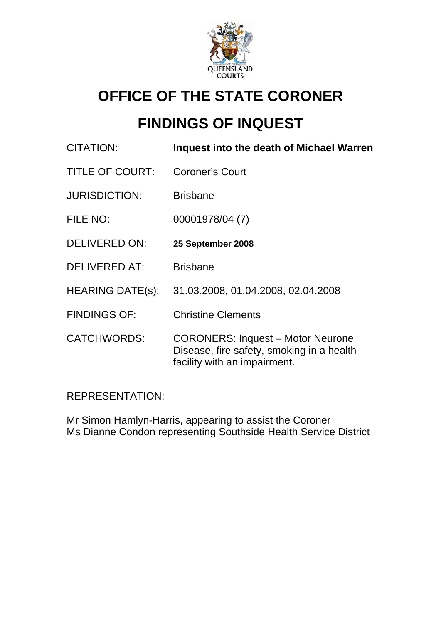

# **OFFICE OF THE STATE CORONER**

# **FINDINGS OF INQUEST**

| <b>CITATION:</b>        | Inquest into the death of Michael Warren                                                                              |
|-------------------------|-----------------------------------------------------------------------------------------------------------------------|
| <b>TITLE OF COURT:</b>  | <b>Coroner's Court</b>                                                                                                |
| <b>JURISDICTION:</b>    | <b>Brisbane</b>                                                                                                       |
| FILE NO:                | 00001978/04 (7)                                                                                                       |
| <b>DELIVERED ON:</b>    | 25 September 2008                                                                                                     |
| <b>DELIVERED AT:</b>    | <b>Brisbane</b>                                                                                                       |
| <b>HEARING DATE(s):</b> | 31.03.2008, 01.04.2008, 02.04.2008                                                                                    |
| <b>FINDINGS OF:</b>     | <b>Christine Clements</b>                                                                                             |
| <b>CATCHWORDS:</b>      | <b>CORONERS: Inquest - Motor Neurone</b><br>Disease, fire safety, smoking in a health<br>facility with an impairment. |

REPRESENTATION:

Mr Simon Hamlyn-Harris, appearing to assist the Coroner Ms Dianne Condon representing Southside Health Service District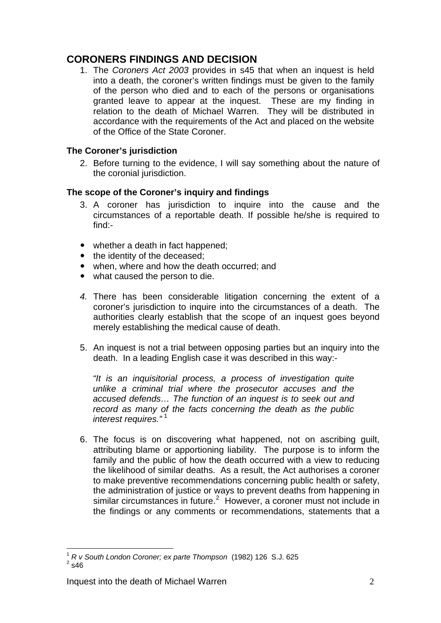## **CORONERS FINDINGS AND DECISION**

1. The *Coroners Act 2003* provides in s45 that when an inquest is held into a death, the coroner's written findings must be given to the family of the person who died and to each of the persons or organisations granted leave to appear at the inquest. These are my finding in relation to the death of Michael Warren. They will be distributed in accordance with the requirements of the Act and placed on the website of the Office of the State Coroner.

## **The Coroner's jurisdiction**

2. Before turning to the evidence, I will say something about the nature of the coronial jurisdiction.

## **The scope of the Coroner's inquiry and findings**

- 3. A coroner has jurisdiction to inquire into the cause and the circumstances of a reportable death. If possible he/she is required to find:-
- whether a death in fact happened;
- the identity of the deceased:
- when, where and how the death occurred; and
- what caused the person to die.
- *4.* There has been considerable litigation concerning the extent of a coroner's jurisdiction to inquire into the circumstances of a death. The authorities clearly establish that the scope of an inquest goes beyond merely establishing the medical cause of death.
- 5. An inquest is not a trial between opposing parties but an inquiry into the death. In a leading English case it was described in this way:-

*"It is an inquisitorial process, a process of investigation quite unlike a criminal trial where the prosecutor accuses and the accused defends… The function of an inquest is to seek out and record as many of the facts concerning the death as the public interest requires."* [1](#page-1-0)

6. The focus is on discovering what happened, not on ascribing guilt, attributing blame or apportioning liability. The purpose is to inform the family and the public of how the death occurred with a view to reducing the likelihood of similar deaths. As a result, the Act authorises a coroner to make preventive recommendations concerning public health or safety, the administration of justice or ways to prevent deaths from happening in similar circumstances in future. $2$  However, a coroner must not include in the findings or any comments or recommendations, statements that a

<span id="page-1-1"></span><span id="page-1-0"></span><sup>&</sup>lt;u>.</u> <sup>1</sup> *R v South London Coroner; ex parte Thompson* (1982) 126 S.J. 625 2  $2\overline{\phantom{0}}$ s46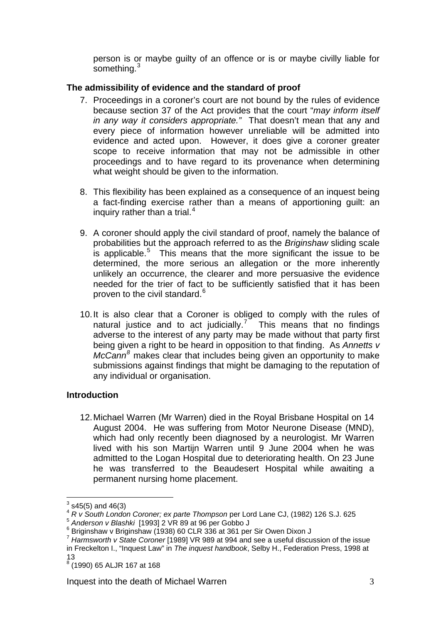person is or maybe guilty of an offence or is or maybe civilly liable for something.<sup>3</sup>

## **The admissibility of evidence and the standard of proof**

- 7. Proceedings in a coroner's court are not bound by the rules of evidence because section 37 of the Act provides that the court "*may inform itself in any way it considers appropriate."* That doesn't mean that any and every piece of information however unreliable will be admitted into evidence and acted upon. However, it does give a coroner greater scope to receive information that may not be admissible in other proceedings and to have regard to its provenance when determining what weight should be given to the information.
- 8. This flexibility has been explained as a consequence of an inquest being a fact-finding exercise rather than a means of apportioning guilt: an inquiry rather than a trial. $4$
- 9. A coroner should apply the civil standard of proof, namely the balance of probabilities but the approach referred to as the *Briginshaw* sliding scale is applicable.<sup>[5](#page-2-1)</sup> This means that the more significant the issue to be determined, the more serious an allegation or the more inherently unlikely an occurrence, the clearer and more persuasive the evidence needed for the trier of fact to be sufficiently satisfied that it has been proven to the civil standard.<sup>[6](#page-2-2)</sup>
- 10. It is also clear that a Coroner is obliged to comply with the rules of natural justice and to act judicially.<sup>[7](#page-2-3)</sup> This means that no findings adverse to the interest of any party may be made without that party first being given a right to be heard in opposition to that finding. As *Annetts v McCann[8](#page-2-4)* makes clear that includes being given an opportunity to make submissions against findings that might be damaging to the reputation of any individual or organisation.

## **Introduction**

12. Michael Warren (Mr Warren) died in the Royal Brisbane Hospital on 14 August 2004. He was suffering from Motor Neurone Disease (MND), which had only recently been diagnosed by a neurologist. Mr Warren lived with his son Martijn Warren until 9 June 2004 when he was admitted to the Logan Hospital due to deteriorating health. On 23 June he was transferred to the Beaudesert Hospital while awaiting a permanent nursing home placement.

<u>.</u>

 $3$  s45(5) and 46(3)

<sup>4</sup> *R v South London Coroner; ex parte Thompson* per Lord Lane CJ, (1982) 126 S.J. 625

<span id="page-2-1"></span><span id="page-2-0"></span><sup>5</sup> *Anderson v Blashki* [1993] 2 VR 89 at 96 per Gobbo J 6

<span id="page-2-2"></span> $6$  Briginshaw v Briginshaw (1938) 60 CLR 336 at 361 per Sir Owen Dixon J

<span id="page-2-3"></span><sup>7</sup> *Harmsworth v State Coroner* [1989] VR 989 at 994 and see a useful discussion of the issue in Freckelton I., "Inquest Law" in *The inquest handbook*, Selby H., Federation Press, 1998 at 13

<span id="page-2-4"></span><sup>8</sup> (1990) 65 ALJR 167 at 168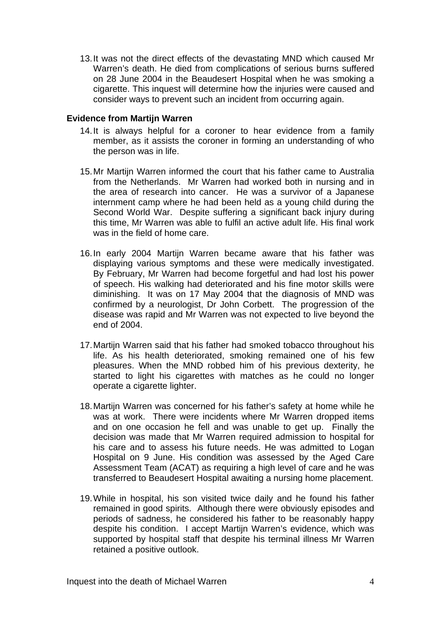13. It was not the direct effects of the devastating MND which caused Mr Warren's death. He died from complications of serious burns suffered on 28 June 2004 in the Beaudesert Hospital when he was smoking a cigarette. This inquest will determine how the injuries were caused and consider ways to prevent such an incident from occurring again.

#### **Evidence from Martijn Warren**

- 14. It is always helpful for a coroner to hear evidence from a family member, as it assists the coroner in forming an understanding of who the person was in life.
- 15. Mr Martijn Warren informed the court that his father came to Australia from the Netherlands. Mr Warren had worked both in nursing and in the area of research into cancer. He was a survivor of a Japanese internment camp where he had been held as a young child during the Second World War. Despite suffering a significant back injury during this time, Mr Warren was able to fulfil an active adult life. His final work was in the field of home care.
- 16. In early 2004 Martijn Warren became aware that his father was displaying various symptoms and these were medically investigated. By February, Mr Warren had become forgetful and had lost his power of speech. His walking had deteriorated and his fine motor skills were diminishing. It was on 17 May 2004 that the diagnosis of MND was confirmed by a neurologist, Dr John Corbett. The progression of the disease was rapid and Mr Warren was not expected to live beyond the end of 2004.
- 17. Martijn Warren said that his father had smoked tobacco throughout his life. As his health deteriorated, smoking remained one of his few pleasures. When the MND robbed him of his previous dexterity, he started to light his cigarettes with matches as he could no longer operate a cigarette lighter.
- 18. Martijn Warren was concerned for his father's safety at home while he was at work. There were incidents where Mr Warren dropped items and on one occasion he fell and was unable to get up. Finally the decision was made that Mr Warren required admission to hospital for his care and to assess his future needs. He was admitted to Logan Hospital on 9 June. His condition was assessed by the Aged Care Assessment Team (ACAT) as requiring a high level of care and he was transferred to Beaudesert Hospital awaiting a nursing home placement.
- 19. While in hospital, his son visited twice daily and he found his father remained in good spirits. Although there were obviously episodes and periods of sadness, he considered his father to be reasonably happy despite his condition. I accept Martijn Warren's evidence, which was supported by hospital staff that despite his terminal illness Mr Warren retained a positive outlook.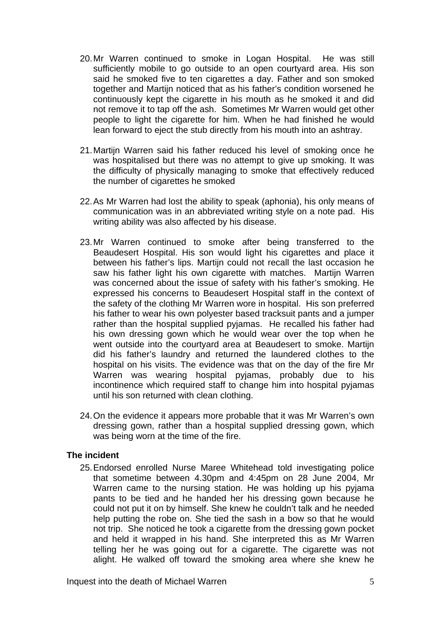- 20. Mr Warren continued to smoke in Logan Hospital. He was still sufficiently mobile to go outside to an open courtyard area. His son said he smoked five to ten cigarettes a day. Father and son smoked together and Martijn noticed that as his father's condition worsened he continuously kept the cigarette in his mouth as he smoked it and did not remove it to tap off the ash. Sometimes Mr Warren would get other people to light the cigarette for him. When he had finished he would lean forward to eject the stub directly from his mouth into an ashtray.
- 21. Martijn Warren said his father reduced his level of smoking once he was hospitalised but there was no attempt to give up smoking. It was the difficulty of physically managing to smoke that effectively reduced the number of cigarettes he smoked
- 22. As Mr Warren had lost the ability to speak (aphonia), his only means of communication was in an abbreviated writing style on a note pad. His writing ability was also affected by his disease.
- 23. Mr Warren continued to smoke after being transferred to the Beaudesert Hospital. His son would light his cigarettes and place it between his father's lips. Martijn could not recall the last occasion he saw his father light his own cigarette with matches. Martijn Warren was concerned about the issue of safety with his father's smoking. He expressed his concerns to Beaudesert Hospital staff in the context of the safety of the clothing Mr Warren wore in hospital. His son preferred his father to wear his own polyester based tracksuit pants and a jumper rather than the hospital supplied pyjamas. He recalled his father had his own dressing gown which he would wear over the top when he went outside into the courtyard area at Beaudesert to smoke. Martijn did his father's laundry and returned the laundered clothes to the hospital on his visits. The evidence was that on the day of the fire Mr Warren was wearing hospital pyjamas, probably due to his incontinence which required staff to change him into hospital pyjamas until his son returned with clean clothing.
- 24. On the evidence it appears more probable that it was Mr Warren's own dressing gown, rather than a hospital supplied dressing gown, which was being worn at the time of the fire.

#### **The incident**

25. Endorsed enrolled Nurse Maree Whitehead told investigating police that sometime between 4.30pm and 4:45pm on 28 June 2004, Mr Warren came to the nursing station. He was holding up his pyjama pants to be tied and he handed her his dressing gown because he could not put it on by himself. She knew he couldn't talk and he needed help putting the robe on. She tied the sash in a bow so that he would not trip. She noticed he took a cigarette from the dressing gown pocket and held it wrapped in his hand. She interpreted this as Mr Warren telling her he was going out for a cigarette. The cigarette was not alight. He walked off toward the smoking area where she knew he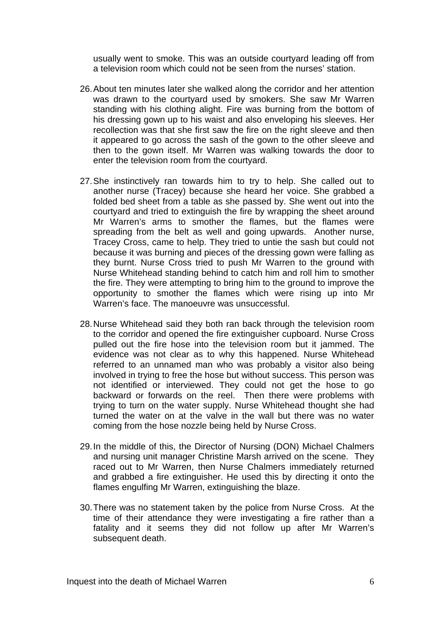usually went to smoke. This was an outside courtyard leading off from a television room which could not be seen from the nurses' station.

- 26. About ten minutes later she walked along the corridor and her attention was drawn to the courtyard used by smokers. She saw Mr Warren standing with his clothing alight. Fire was burning from the bottom of his dressing gown up to his waist and also enveloping his sleeves. Her recollection was that she first saw the fire on the right sleeve and then it appeared to go across the sash of the gown to the other sleeve and then to the gown itself. Mr Warren was walking towards the door to enter the television room from the courtyard.
- 27. She instinctively ran towards him to try to help. She called out to another nurse (Tracey) because she heard her voice. She grabbed a folded bed sheet from a table as she passed by. She went out into the courtyard and tried to extinguish the fire by wrapping the sheet around Mr Warren's arms to smother the flames, but the flames were spreading from the belt as well and going upwards. Another nurse, Tracey Cross, came to help. They tried to untie the sash but could not because it was burning and pieces of the dressing gown were falling as they burnt. Nurse Cross tried to push Mr Warren to the ground with Nurse Whitehead standing behind to catch him and roll him to smother the fire. They were attempting to bring him to the ground to improve the opportunity to smother the flames which were rising up into Mr Warren's face. The manoeuvre was unsuccessful.
- 28. Nurse Whitehead said they both ran back through the television room to the corridor and opened the fire extinguisher cupboard. Nurse Cross pulled out the fire hose into the television room but it jammed. The evidence was not clear as to why this happened. Nurse Whitehead referred to an unnamed man who was probably a visitor also being involved in trying to free the hose but without success. This person was not identified or interviewed. They could not get the hose to go backward or forwards on the reel. Then there were problems with trying to turn on the water supply. Nurse Whitehead thought she had turned the water on at the valve in the wall but there was no water coming from the hose nozzle being held by Nurse Cross.
- 29. In the middle of this, the Director of Nursing (DON) Michael Chalmers and nursing unit manager Christine Marsh arrived on the scene. They raced out to Mr Warren, then Nurse Chalmers immediately returned and grabbed a fire extinguisher. He used this by directing it onto the flames engulfing Mr Warren, extinguishing the blaze.
- 30. There was no statement taken by the police from Nurse Cross. At the time of their attendance they were investigating a fire rather than a fatality and it seems they did not follow up after Mr Warren's subsequent death.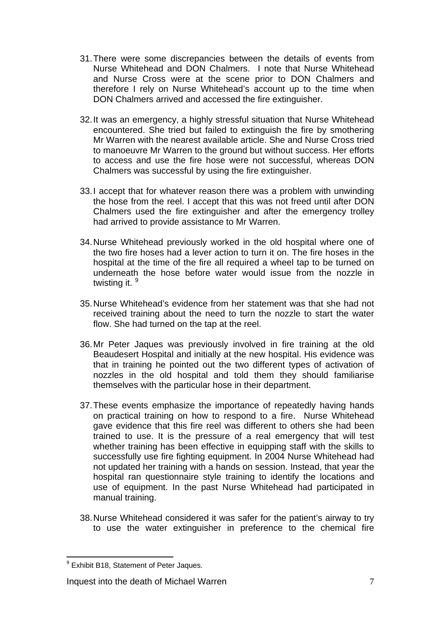- 31. There were some discrepancies between the details of events from Nurse Whitehead and DON Chalmers. I note that Nurse Whitehead and Nurse Cross were at the scene prior to DON Chalmers and therefore I rely on Nurse Whitehead's account up to the time when DON Chalmers arrived and accessed the fire extinguisher.
- 32. It was an emergency, a highly stressful situation that Nurse Whitehead encountered. She tried but failed to extinguish the fire by smothering Mr Warren with the nearest available article. She and Nurse Cross tried to manoeuvre Mr Warren to the ground but without success. Her efforts to access and use the fire hose were not successful, whereas DON Chalmers was successful by using the fire extinguisher.
- 33. I accept that for whatever reason there was a problem with unwinding the hose from the reel. I accept that this was not freed until after DON Chalmers used the fire extinguisher and after the emergency trolley had arrived to provide assistance to Mr Warren.
- 34. Nurse Whitehead previously worked in the old hospital where one of the two fire hoses had a lever action to turn it on. The fire hoses in the hospital at the time of the fire all required a wheel tap to be turned on underneath the hose before water would issue from the nozzle in twisting it. <sup>[9](#page-6-0)</sup>
- 35. Nurse Whitehead's evidence from her statement was that she had not received training about the need to turn the nozzle to start the water flow. She had turned on the tap at the reel.
- 36. Mr Peter Jaques was previously involved in fire training at the old Beaudesert Hospital and initially at the new hospital. His evidence was that in training he pointed out the two different types of activation of nozzles in the old hospital and told them they should familiarise themselves with the particular hose in their department.
- 37. These events emphasize the importance of repeatedly having hands on practical training on how to respond to a fire. Nurse Whitehead gave evidence that this fire reel was different to others she had been trained to use. It is the pressure of a real emergency that will test whether training has been effective in equipping staff with the skills to successfully use fire fighting equipment. In 2004 Nurse Whitehead had not updated her training with a hands on session. Instead, that year the hospital ran questionnaire style training to identify the locations and use of equipment. In the past Nurse Whitehead had participated in manual training.
- 38. Nurse Whitehead considered it was safer for the patient's airway to try to use the water extinguisher in preference to the chemical fire

<span id="page-6-0"></span><sup>1</sup> <sup>9</sup> Exhibit B18, Statement of Peter Jaques.

Inquest into the death of Michael Warren 7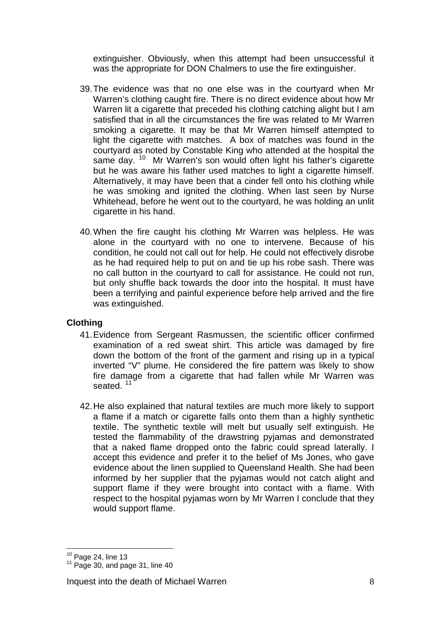extinguisher. Obviously, when this attempt had been unsuccessful it was the appropriate for DON Chalmers to use the fire extinguisher.

- 39. The evidence was that no one else was in the courtyard when Mr Warren's clothing caught fire. There is no direct evidence about how Mr Warren lit a cigarette that preceded his clothing catching alight but I am satisfied that in all the circumstances the fire was related to Mr Warren smoking a cigarette. It may be that Mr Warren himself attempted to light the cigarette with matches. A box of matches was found in the courtyard as noted by Constable King who attended at the hospital the same day. <sup>[10](#page-7-0)</sup> Mr Warren's son would often light his father's cigarette but he was aware his father used matches to light a cigarette himself. Alternatively, it may have been that a cinder fell onto his clothing while he was smoking and ignited the clothing. When last seen by Nurse Whitehead, before he went out to the courtyard, he was holding an unlit cigarette in his hand.
- 40. When the fire caught his clothing Mr Warren was helpless. He was alone in the courtyard with no one to intervene. Because of his condition, he could not call out for help. He could not effectively disrobe as he had required help to put on and tie up his robe sash. There was no call button in the courtyard to call for assistance. He could not run, but only shuffle back towards the door into the hospital. It must have been a terrifying and painful experience before help arrived and the fire was extinguished.

## **Clothing**

- 41. Evidence from Sergeant Rasmussen, the scientific officer confirmed examination of a red sweat shirt. This article was damaged by fire down the bottom of the front of the garment and rising up in a typical inverted "V" plume. He considered the fire pattern was likely to show fire damage from a cigarette that had fallen while Mr Warren was seated.<sup>[11](#page-7-1)</sup>
- 42. He also explained that natural textiles are much more likely to support a flame if a match or cigarette falls onto them than a highly synthetic textile. The synthetic textile will melt but usually self extinguish. He tested the flammability of the drawstring pyjamas and demonstrated that a naked flame dropped onto the fabric could spread laterally. I accept this evidence and prefer it to the belief of Ms Jones, who gave evidence about the linen supplied to Queensland Health. She had been informed by her supplier that the pyjamas would not catch alight and support flame if they were brought into contact with a flame. With respect to the hospital pyjamas worn by Mr Warren I conclude that they would support flame.

<span id="page-7-0"></span> $10$  Page 24, line 13

<span id="page-7-1"></span> $11$  Page 30, and page 31, line 40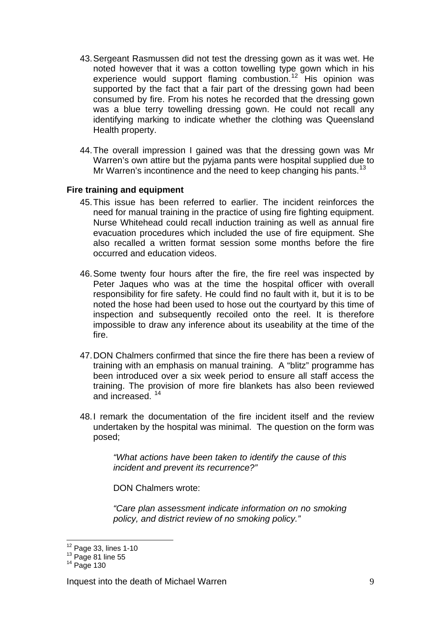- 43. Sergeant Rasmussen did not test the dressing gown as it was wet. He noted however that it was a cotton towelling type gown which in his experience would support flaming combustion.<sup>[12](#page-8-0)</sup> His opinion was supported by the fact that a fair part of the dressing gown had been consumed by fire. From his notes he recorded that the dressing gown was a blue terry towelling dressing gown. He could not recall any identifying marking to indicate whether the clothing was Queensland Health property.
- 44. The overall impression I gained was that the dressing gown was Mr Warren's own attire but the pyjama pants were hospital supplied due to Mr Warren's incontinence and the need to keep changing his pants.<sup>[13](#page-8-1)</sup>

#### **Fire training and equipment**

- 45. This issue has been referred to earlier. The incident reinforces the need for manual training in the practice of using fire fighting equipment. Nurse Whitehead could recall induction training as well as annual fire evacuation procedures which included the use of fire equipment. She also recalled a written format session some months before the fire occurred and education videos.
- 46. Some twenty four hours after the fire, the fire reel was inspected by Peter Jaques who was at the time the hospital officer with overall responsibility for fire safety. He could find no fault with it, but it is to be noted the hose had been used to hose out the courtyard by this time of inspection and subsequently recoiled onto the reel. It is therefore impossible to draw any inference about its useability at the time of the fire.
- 47. DON Chalmers confirmed that since the fire there has been a review of training with an emphasis on manual training. A "blitz" programme has been introduced over a six week period to ensure all staff access the training. The provision of more fire blankets has also been reviewed and increased. [14](#page-8-2)
- 48. I remark the documentation of the fire incident itself and the review undertaken by the hospital was minimal. The question on the form was posed;

*"What actions have been taken to identify the cause of this incident and prevent its recurrence?"* 

DON Chalmers wrote:

*"Care plan assessment indicate information on no smoking policy, and district review of no smoking policy."* 

 $12$  Page 33, lines 1-10

<span id="page-8-2"></span><span id="page-8-1"></span><span id="page-8-0"></span> $\frac{13}{14}$  Page 81 line 55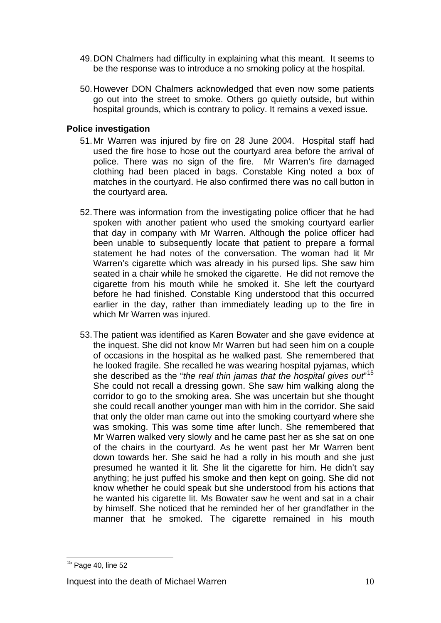- 49. DON Chalmers had difficulty in explaining what this meant. It seems to be the response was to introduce a no smoking policy at the hospital.
- 50. However DON Chalmers acknowledged that even now some patients go out into the street to smoke. Others go quietly outside, but within hospital grounds, which is contrary to policy. It remains a vexed issue.

### **Police investigation**

- 51. Mr Warren was injured by fire on 28 June 2004. Hospital staff had used the fire hose to hose out the courtyard area before the arrival of police. There was no sign of the fire. Mr Warren's fire damaged clothing had been placed in bags. Constable King noted a box of matches in the courtyard. He also confirmed there was no call button in the courtyard area.
- 52. There was information from the investigating police officer that he had spoken with another patient who used the smoking courtyard earlier that day in company with Mr Warren. Although the police officer had been unable to subsequently locate that patient to prepare a formal statement he had notes of the conversation. The woman had lit Mr Warren's cigarette which was already in his pursed lips. She saw him seated in a chair while he smoked the cigarette. He did not remove the cigarette from his mouth while he smoked it. She left the courtyard before he had finished. Constable King understood that this occurred earlier in the day, rather than immediately leading up to the fire in which Mr Warren was injured.
- 53. The patient was identified as Karen Bowater and she gave evidence at the inquest. She did not know Mr Warren but had seen him on a couple of occasions in the hospital as he walked past. She remembered that he looked fragile. She recalled he was wearing hospital pyjamas, which she described as the "*the real thin jamas that the hospital gives out*" [15](#page-9-0) She could not recall a dressing gown. She saw him walking along the corridor to go to the smoking area. She was uncertain but she thought she could recall another younger man with him in the corridor. She said that only the older man came out into the smoking courtyard where she was smoking. This was some time after lunch. She remembered that Mr Warren walked very slowly and he came past her as she sat on one of the chairs in the courtyard. As he went past her Mr Warren bent down towards her. She said he had a rolly in his mouth and she just presumed he wanted it lit. She lit the cigarette for him. He didn't say anything; he just puffed his smoke and then kept on going. She did not know whether he could speak but she understood from his actions that he wanted his cigarette lit. Ms Bowater saw he went and sat in a chair by himself. She noticed that he reminded her of her grandfather in the manner that he smoked. The cigarette remained in his mouth

<span id="page-9-0"></span><sup>1</sup>  $15$  Page 40, line 52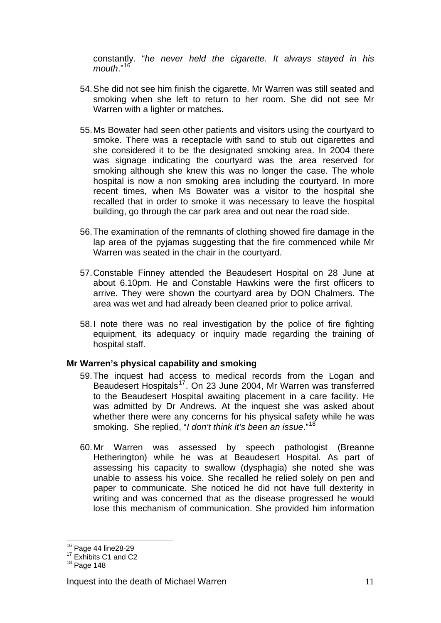constantly. "*he never held the cigarette. It always stayed in his mouth*."<sup>16</sup>

- 54. She did not see him finish the cigarette. Mr Warren was still seated and smoking when she left to return to her room. She did not see Mr Warren with a lighter or matches.
- 55. Ms Bowater had seen other patients and visitors using the courtyard to smoke. There was a receptacle with sand to stub out cigarettes and she considered it to be the designated smoking area. In 2004 there was signage indicating the courtyard was the area reserved for smoking although she knew this was no longer the case. The whole hospital is now a non smoking area including the courtyard. In more recent times, when Ms Bowater was a visitor to the hospital she recalled that in order to smoke it was necessary to leave the hospital building, go through the car park area and out near the road side.
- 56. The examination of the remnants of clothing showed fire damage in the lap area of the pyjamas suggesting that the fire commenced while Mr Warren was seated in the chair in the courtyard.
- 57. Constable Finney attended the Beaudesert Hospital on 28 June at about 6.10pm. He and Constable Hawkins were the first officers to arrive. They were shown the courtyard area by DON Chalmers. The area was wet and had already been cleaned prior to police arrival.
- 58. I note there was no real investigation by the police of fire fighting equipment, its adequacy or inquiry made regarding the training of hospital staff.

#### **Mr Warren's physical capability and smoking**

- 59. The inquest had access to medical records from the Logan and Beaudesert Hospitals[17](#page-10-0). On 23 June 2004, Mr Warren was transferred to the Beaudesert Hospital awaiting placement in a care facility. He was admitted by Dr Andrews. At the inquest she was asked about whether there were any concerns for his physical safety while he was smoking. She replied, "*I don't think it's been an issue*."[18](#page-10-1)
- 60. Mr Warren was assessed by speech pathologist (Breanne Hetherington) while he was at Beaudesert Hospital. As part of assessing his capacity to swallow (dysphagia) she noted she was unable to assess his voice. She recalled he relied solely on pen and paper to communicate. She noticed he did not have full dexterity in writing and was concerned that as the disease progressed he would lose this mechanism of communication. She provided him information

1

 $16$  Page 44 line28-29<br> $17$  Exhibits C1 and C2

<span id="page-10-1"></span><span id="page-10-0"></span> $18$  Page 148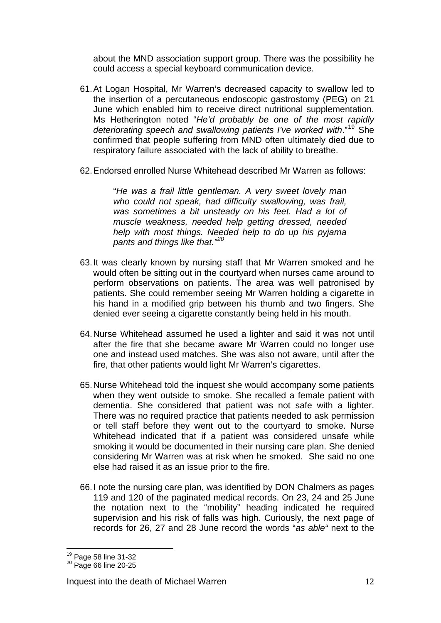about the MND association support group. There was the possibility he could access a special keyboard communication device.

- 61. At Logan Hospital, Mr Warren's decreased capacity to swallow led to the insertion of a percutaneous endoscopic gastrostomy (PEG) on 21 June which enabled him to receive direct nutritional supplementation. Ms Hetherington noted "*He'd probably be one of the most rapidly*  deteriorating speech and swallowing patients I've worked with."<sup>[19](#page-11-0)</sup> She confirmed that people suffering from MND often ultimately died due to respiratory failure associated with the lack of ability to breathe.
- 62. Endorsed enrolled Nurse Whitehead described Mr Warren as follows:

"*He was a frail little gentleman. A very sweet lovely man who could not speak, had difficulty swallowing, was frail, was sometimes a bit unsteady on his feet. Had a lot of muscle weakness, needed help getting dressed, needed help with most things. Needed help to do up his pyjama pants and things like that."[20](#page-11-1)*

- 63. It was clearly known by nursing staff that Mr Warren smoked and he would often be sitting out in the courtyard when nurses came around to perform observations on patients. The area was well patronised by patients. She could remember seeing Mr Warren holding a cigarette in his hand in a modified grip between his thumb and two fingers. She denied ever seeing a cigarette constantly being held in his mouth.
- 64. Nurse Whitehead assumed he used a lighter and said it was not until after the fire that she became aware Mr Warren could no longer use one and instead used matches. She was also not aware, until after the fire, that other patients would light Mr Warren's cigarettes.
- 65. Nurse Whitehead told the inquest she would accompany some patients when they went outside to smoke. She recalled a female patient with dementia. She considered that patient was not safe with a lighter. There was no required practice that patients needed to ask permission or tell staff before they went out to the courtyard to smoke. Nurse Whitehead indicated that if a patient was considered unsafe while smoking it would be documented in their nursing care plan. She denied considering Mr Warren was at risk when he smoked. She said no one else had raised it as an issue prior to the fire.
- 66. I note the nursing care plan, was identified by DON Chalmers as pages 119 and 120 of the paginated medical records. On 23, 24 and 25 June the notation next to the "mobility" heading indicated he required supervision and his risk of falls was high. Curiously, the next page of records for 26, 27 and 28 June record the words "*as able"* next to the

<u>.</u>

<span id="page-11-1"></span><span id="page-11-0"></span><sup>&</sup>lt;sup>19</sup> Page 58 line 31-32<br><sup>20</sup> Page 66 line 20-25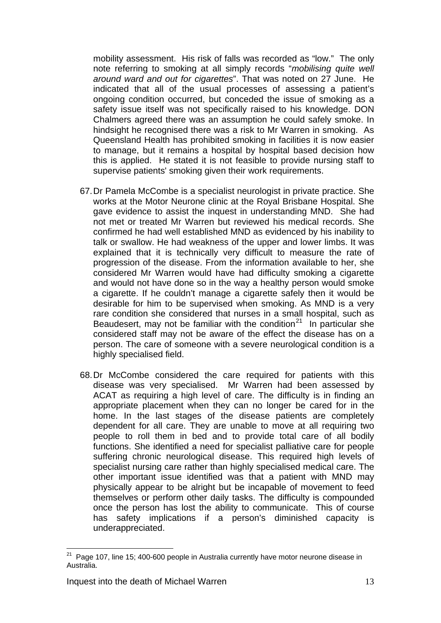mobility assessment. His risk of falls was recorded as "low." The only note referring to smoking at all simply records "*mobilising quite well around ward and out for cigarettes*". That was noted on 27 June. He indicated that all of the usual processes of assessing a patient's ongoing condition occurred, but conceded the issue of smoking as a safety issue itself was not specifically raised to his knowledge. DON Chalmers agreed there was an assumption he could safely smoke. In hindsight he recognised there was a risk to Mr Warren in smoking. As Queensland Health has prohibited smoking in facilities it is now easier to manage, but it remains a hospital by hospital based decision how this is applied. He stated it is not feasible to provide nursing staff to supervise patients' smoking given their work requirements.

- 67. Dr Pamela McCombe is a specialist neurologist in private practice. She works at the Motor Neurone clinic at the Royal Brisbane Hospital. She gave evidence to assist the inquest in understanding MND. She had not met or treated Mr Warren but reviewed his medical records. She confirmed he had well established MND as evidenced by his inability to talk or swallow. He had weakness of the upper and lower limbs. It was explained that it is technically very difficult to measure the rate of progression of the disease. From the information available to her, she considered Mr Warren would have had difficulty smoking a cigarette and would not have done so in the way a healthy person would smoke a cigarette. If he couldn't manage a cigarette safely then it would be desirable for him to be supervised when smoking. As MND is a very rare condition she considered that nurses in a small hospital, such as Beaudesert, may not be familiar with the condition<sup>[21](#page-12-0)</sup> In particular she considered staff may not be aware of the effect the disease has on a person. The care of someone with a severe neurological condition is a highly specialised field.
- 68. Dr McCombe considered the care required for patients with this disease was very specialised. Mr Warren had been assessed by ACAT as requiring a high level of care. The difficulty is in finding an appropriate placement when they can no longer be cared for in the home. In the last stages of the disease patients are completely dependent for all care. They are unable to move at all requiring two people to roll them in bed and to provide total care of all bodily functions. She identified a need for specialist palliative care for people suffering chronic neurological disease. This required high levels of specialist nursing care rather than highly specialised medical care. The other important issue identified was that a patient with MND may physically appear to be alright but be incapable of movement to feed themselves or perform other daily tasks. The difficulty is compounded once the person has lost the ability to communicate. This of course has safety implications if a person's diminished capacity is underappreciated.

<span id="page-12-0"></span><sup>&</sup>lt;u>.</u>  $21$  Page 107, line 15; 400-600 people in Australia currently have motor neurone disease in Australia.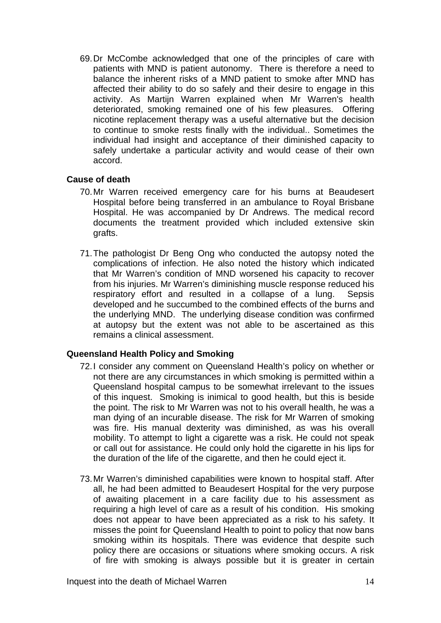69. Dr McCombe acknowledged that one of the principles of care with patients with MND is patient autonomy. There is therefore a need to balance the inherent risks of a MND patient to smoke after MND has affected their ability to do so safely and their desire to engage in this activity. As Martijn Warren explained when Mr Warren's health deteriorated, smoking remained one of his few pleasures. Offering nicotine replacement therapy was a useful alternative but the decision to continue to smoke rests finally with the individual.. Sometimes the individual had insight and acceptance of their diminished capacity to safely undertake a particular activity and would cease of their own accord.

#### **Cause of death**

- 70. Mr Warren received emergency care for his burns at Beaudesert Hospital before being transferred in an ambulance to Royal Brisbane Hospital. He was accompanied by Dr Andrews. The medical record documents the treatment provided which included extensive skin grafts.
- 71. The pathologist Dr Beng Ong who conducted the autopsy noted the complications of infection. He also noted the history which indicated that Mr Warren's condition of MND worsened his capacity to recover from his injuries. Mr Warren's diminishing muscle response reduced his respiratory effort and resulted in a collapse of a lung. Sepsis developed and he succumbed to the combined effects of the burns and the underlying MND. The underlying disease condition was confirmed at autopsy but the extent was not able to be ascertained as this remains a clinical assessment.

#### **Queensland Health Policy and Smoking**

- 72. I consider any comment on Queensland Health's policy on whether or not there are any circumstances in which smoking is permitted within a Queensland hospital campus to be somewhat irrelevant to the issues of this inquest. Smoking is inimical to good health, but this is beside the point. The risk to Mr Warren was not to his overall health, he was a man dying of an incurable disease. The risk for Mr Warren of smoking was fire. His manual dexterity was diminished, as was his overall mobility. To attempt to light a cigarette was a risk. He could not speak or call out for assistance. He could only hold the cigarette in his lips for the duration of the life of the cigarette, and then he could eject it.
- 73. Mr Warren's diminished capabilities were known to hospital staff. After all, he had been admitted to Beaudesert Hospital for the very purpose of awaiting placement in a care facility due to his assessment as requiring a high level of care as a result of his condition. His smoking does not appear to have been appreciated as a risk to his safety. It misses the point for Queensland Health to point to policy that now bans smoking within its hospitals. There was evidence that despite such policy there are occasions or situations where smoking occurs. A risk of fire with smoking is always possible but it is greater in certain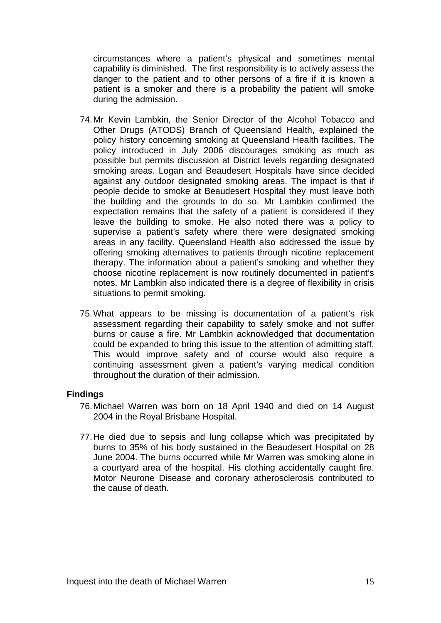circumstances where a patient's physical and sometimes mental capability is diminished. The first responsibility is to actively assess the danger to the patient and to other persons of a fire if it is known a patient is a smoker and there is a probability the patient will smoke during the admission.

- 74. Mr Kevin Lambkin, the Senior Director of the Alcohol Tobacco and Other Drugs (ATODS) Branch of Queensland Health, explained the policy history concerning smoking at Queensland Health facilities. The policy introduced in July 2006 discourages smoking as much as possible but permits discussion at District levels regarding designated smoking areas. Logan and Beaudesert Hospitals have since decided against any outdoor designated smoking areas. The impact is that if people decide to smoke at Beaudesert Hospital they must leave both the building and the grounds to do so. Mr Lambkin confirmed the expectation remains that the safety of a patient is considered if they leave the building to smoke. He also noted there was a policy to supervise a patient's safety where there were designated smoking areas in any facility. Queensland Health also addressed the issue by offering smoking alternatives to patients through nicotine replacement therapy. The information about a patient's smoking and whether they choose nicotine replacement is now routinely documented in patient's notes. Mr Lambkin also indicated there is a degree of flexibility in crisis situations to permit smoking.
- 75. What appears to be missing is documentation of a patient's risk assessment regarding their capability to safely smoke and not suffer burns or cause a fire. Mr Lambkin acknowledged that documentation could be expanded to bring this issue to the attention of admitting staff. This would improve safety and of course would also require a continuing assessment given a patient's varying medical condition throughout the duration of their admission.

#### **Findings**

- 76. Michael Warren was born on 18 April 1940 and died on 14 August 2004 in the Royal Brisbane Hospital.
- 77. He died due to sepsis and lung collapse which was precipitated by burns to 35% of his body sustained in the Beaudesert Hospital on 28 June 2004. The burns occurred while Mr Warren was smoking alone in a courtyard area of the hospital. His clothing accidentally caught fire. Motor Neurone Disease and coronary atherosclerosis contributed to the cause of death.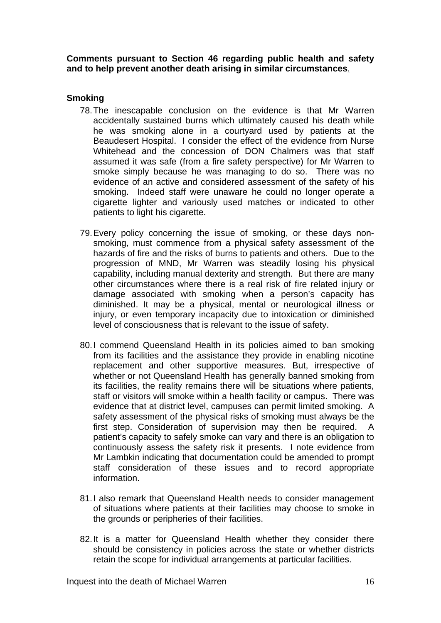**Comments pursuant to Section 46 regarding public health and safety and to help prevent another death arising in similar circumstances**.

#### **Smoking**

- 78. The inescapable conclusion on the evidence is that Mr Warren accidentally sustained burns which ultimately caused his death while he was smoking alone in a courtyard used by patients at the Beaudesert Hospital. I consider the effect of the evidence from Nurse Whitehead and the concession of DON Chalmers was that staff assumed it was safe (from a fire safety perspective) for Mr Warren to smoke simply because he was managing to do so. There was no evidence of an active and considered assessment of the safety of his smoking. Indeed staff were unaware he could no longer operate a cigarette lighter and variously used matches or indicated to other patients to light his cigarette.
- 79. Every policy concerning the issue of smoking, or these days nonsmoking, must commence from a physical safety assessment of the hazards of fire and the risks of burns to patients and others. Due to the progression of MND, Mr Warren was steadily losing his physical capability, including manual dexterity and strength. But there are many other circumstances where there is a real risk of fire related injury or damage associated with smoking when a person's capacity has diminished. It may be a physical, mental or neurological illness or injury, or even temporary incapacity due to intoxication or diminished level of consciousness that is relevant to the issue of safety.
- 80.I commend Queensland Health in its policies aimed to ban smoking from its facilities and the assistance they provide in enabling nicotine replacement and other supportive measures. But, irrespective of whether or not Queensland Health has generally banned smoking from its facilities, the reality remains there will be situations where patients, staff or visitors will smoke within a health facility or campus. There was evidence that at district level, campuses can permit limited smoking. A safety assessment of the physical risks of smoking must always be the first step. Consideration of supervision may then be required. A patient's capacity to safely smoke can vary and there is an obligation to continuously assess the safety risk it presents. I note evidence from Mr Lambkin indicating that documentation could be amended to prompt staff consideration of these issues and to record appropriate information.
- 81. I also remark that Queensland Health needs to consider management of situations where patients at their facilities may choose to smoke in the grounds or peripheries of their facilities.
- 82. It is a matter for Queensland Health whether they consider there should be consistency in policies across the state or whether districts retain the scope for individual arrangements at particular facilities.

Inquest into the death of Michael Warren 16